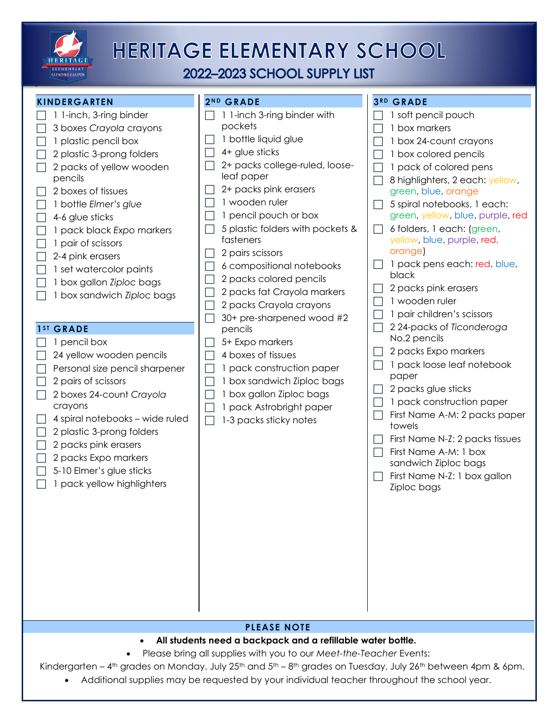

## **HERITAGE ELEMENTARY SCHOOL**

2022-2023 SCHOOL SUPPLY LIST

**3 R D GRADE**

**2N D GRADE**

### **KINDERGARTEN**

| 1 1-inch, 3-ring binder<br>3 boxes Crayola crayons<br>1 plastic pencil box<br>2 plastic 3-prong folders<br>2 packs of yellow wooden<br>pencils<br>2 boxes of tissues<br>1 bottle Elmer's glue<br>4-6 glue sticks<br>1 pack black Expo markers<br>1 pair of scissors<br>2-4 pink erasers<br>1 set watercolor paints<br>1 box gallon Ziploc bags<br>1 box sandwich Ziploc bags | 1 1-inch 3-ring binder with<br>pockets<br>1 bottle liquid glue<br>4+ glue sticks<br>$\sim$<br>2+ packs college-ruled, loose-<br>leaf paper<br>2+ packs pink erasers<br>1 wooden ruler<br>1 pencil pouch or box<br>L<br>5 plastic folders with pockets &<br>fasteners<br>2 pairs scissors<br>6 compositional notebooks<br>2 packs colored pencils<br>$\mathbf{L}$<br>2 packs fat Crayola markers<br>$\mathbf{L}$<br>2 packs Crayola crayons<br>$\mathbf{L}$<br>30+ pre-sharpened wood #2<br>H | 1 soft pencil pouch<br>1 box markers<br>1 box 24-count crayons<br>1 box colored pencils<br>1 pack of colored pens<br>8 highlighters, 2 each: yellow,<br>green, blue, orange<br>5 spiral notebooks, 1 each:<br>green, yellow, blue, purple, red<br>6 folders, 1 each: (green,<br>yellow, blue, purple, red,<br>orange)<br>1 pack pens each: red, blue,<br>black<br>2 packs pink erasers<br>1 wooden ruler<br>1 pair children's scissors |
|------------------------------------------------------------------------------------------------------------------------------------------------------------------------------------------------------------------------------------------------------------------------------------------------------------------------------------------------------------------------------|----------------------------------------------------------------------------------------------------------------------------------------------------------------------------------------------------------------------------------------------------------------------------------------------------------------------------------------------------------------------------------------------------------------------------------------------------------------------------------------------|----------------------------------------------------------------------------------------------------------------------------------------------------------------------------------------------------------------------------------------------------------------------------------------------------------------------------------------------------------------------------------------------------------------------------------------|
| 1 <sup>ST</sup> GRADE                                                                                                                                                                                                                                                                                                                                                        | pencils                                                                                                                                                                                                                                                                                                                                                                                                                                                                                      | 224-packs of Ticonderoga<br>No.2 pencils                                                                                                                                                                                                                                                                                                                                                                                               |
| 1 pencil box<br>24 yellow wooden pencils<br>Personal size pencil sharpener<br>2 pairs of scissors<br>2 boxes 24-count Crayola<br>crayons<br>4 spiral notebooks - wide ruled<br>2 plastic 3-prong folders<br>2 packs pink erasers<br>2 packs Expo markers<br>5-10 Elmer's glue sticks<br>1 pack yellow highlighters                                                           | 5+ Expo markers<br>4 boxes of tissues<br>1 pack construction paper<br>$\mathbf{L}$<br>1 box sandwich Ziploc bags<br>L<br>1 box gallon Ziploc bags<br>$\mathbf{L}$<br>1 pack Astrobright paper<br>$\mathbf{L}$<br>1-3 packs sticky notes                                                                                                                                                                                                                                                      | 2 packs Expo markers<br>1 pack loose leaf notebook<br>paper<br>2 packs glue sticks<br>1 pack construction paper<br>First Name A-M: 2 packs paper<br>$\overline{\phantom{a}}$<br>towels<br>First Name N-Z: 2 packs tissues<br>First Name A-M: 1 box<br>$\Box$<br>sandwich Ziploc bags<br>First Name N-Z: 1 box gallon<br>Ziploc bags                                                                                                    |

#### **PLEASE NOTE**

- **All students need a backpack and a refillable water bottle.**
- Please bring all supplies with you to our *Meet-the-Teacher* Events:

Kindergarten – 4<sup>th</sup> grades on Monday, July 25<sup>th</sup> and 5<sup>th</sup> – 8<sup>th</sup> grades on Tuesday, July 26<sup>th</sup> between 4pm & 6pm.

Additional supplies may be requested by your individual teacher throughout the school year.